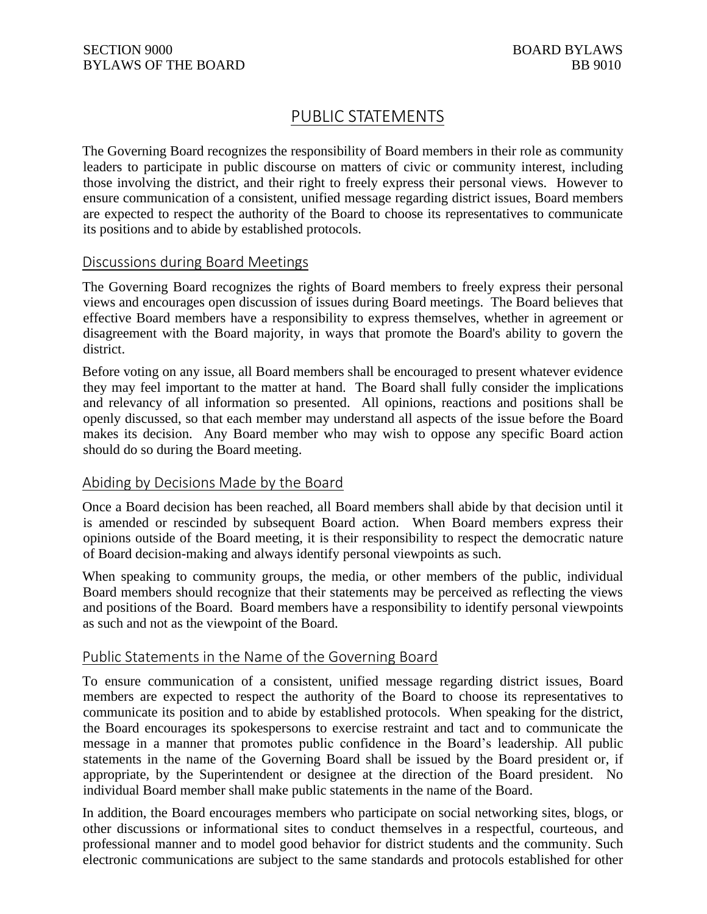# PUBLIC STATEMENTS

The Governing Board recognizes the responsibility of Board members in their role as community leaders to participate in public discourse on matters of civic or community interest, including those involving the district, and their right to freely express their personal views. However to ensure communication of a consistent, unified message regarding district issues, Board members are expected to respect the authority of the Board to choose its representatives to communicate its positions and to abide by established protocols.

## Discussions during Board Meetings

The Governing Board recognizes the rights of Board members to freely express their personal views and encourages open discussion of issues during Board meetings. The Board believes that effective Board members have a responsibility to express themselves, whether in agreement or disagreement with the Board majority, in ways that promote the Board's ability to govern the district.

Before voting on any issue, all Board members shall be encouraged to present whatever evidence they may feel important to the matter at hand. The Board shall fully consider the implications and relevancy of all information so presented. All opinions, reactions and positions shall be openly discussed, so that each member may understand all aspects of the issue before the Board makes its decision. Any Board member who may wish to oppose any specific Board action should do so during the Board meeting.

### Abiding by Decisions Made by the Board

Once a Board decision has been reached, all Board members shall abide by that decision until it is amended or rescinded by subsequent Board action. When Board members express their opinions outside of the Board meeting, it is their responsibility to respect the democratic nature of Board decision-making and always identify personal viewpoints as such.

When speaking to community groups, the media, or other members of the public, individual Board members should recognize that their statements may be perceived as reflecting the views and positions of the Board. Board members have a responsibility to identify personal viewpoints as such and not as the viewpoint of the Board.

### Public Statements in the Name of the Governing Board

To ensure communication of a consistent, unified message regarding district issues, Board members are expected to respect the authority of the Board to choose its representatives to communicate its position and to abide by established protocols. When speaking for the district, the Board encourages its spokespersons to exercise restraint and tact and to communicate the message in a manner that promotes public confidence in the Board's leadership. All public statements in the name of the Governing Board shall be issued by the Board president or, if appropriate, by the Superintendent or designee at the direction of the Board president. No individual Board member shall make public statements in the name of the Board.

In addition, the Board encourages members who participate on social networking sites, blogs, or other discussions or informational sites to conduct themselves in a respectful, courteous, and professional manner and to model good behavior for district students and the community. Such electronic communications are subject to the same standards and protocols established for other